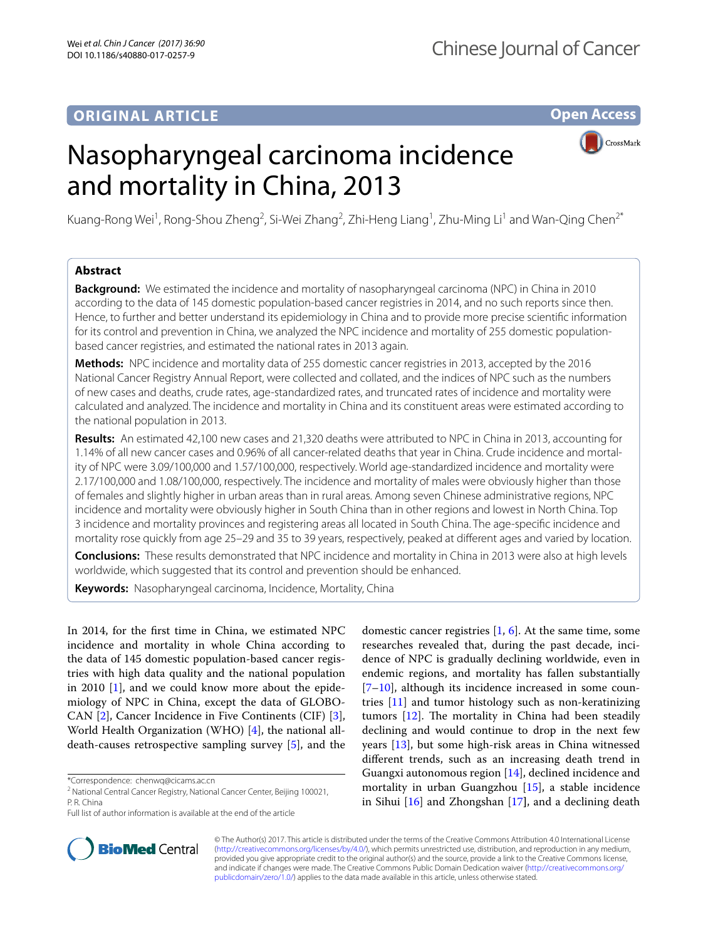# **ORIGINAL ARTICLE**

**Open Access**



# Nasopharyngeal carcinoma incidence and mortality in China, 2013

Kuang-Rong Wei<sup>1</sup>, Rong-Shou Zheng<sup>2</sup>, Si-Wei Zhang<sup>2</sup>, Zhi-Heng Liang<sup>1</sup>, Zhu-Ming Li<sup>1</sup> and Wan-Qing Chen<sup>2\*</sup>

# **Abstract**

**Background:** We estimated the incidence and mortality of nasopharyngeal carcinoma (NPC) in China in 2010 according to the data of 145 domestic population-based cancer registries in 2014, and no such reports since then. Hence, to further and better understand its epidemiology in China and to provide more precise scientifc information for its control and prevention in China, we analyzed the NPC incidence and mortality of 255 domestic populationbased cancer registries, and estimated the national rates in 2013 again.

**Methods:** NPC incidence and mortality data of 255 domestic cancer registries in 2013, accepted by the 2016 National Cancer Registry Annual Report, were collected and collated, and the indices of NPC such as the numbers of new cases and deaths, crude rates, age-standardized rates, and truncated rates of incidence and mortality were calculated and analyzed. The incidence and mortality in China and its constituent areas were estimated according to the national population in 2013.

**Results:** An estimated 42,100 new cases and 21,320 deaths were attributed to NPC in China in 2013, accounting for 1.14% of all new cancer cases and 0.96% of all cancer-related deaths that year in China. Crude incidence and mortal‑ ity of NPC were 3.09/100,000 and 1.57/100,000, respectively. World age-standardized incidence and mortality were 2.17/100,000 and 1.08/100,000, respectively. The incidence and mortality of males were obviously higher than those of females and slightly higher in urban areas than in rural areas. Among seven Chinese administrative regions, NPC incidence and mortality were obviously higher in South China than in other regions and lowest in North China. Top 3 incidence and mortality provinces and registering areas all located in South China. The age-specifc incidence and mortality rose quickly from age 25–29 and 35 to 39 years, respectively, peaked at diferent ages and varied by location.

**Conclusions:** These results demonstrated that NPC incidence and mortality in China in 2013 were also at high levels worldwide, which suggested that its control and prevention should be enhanced.

**Keywords:** Nasopharyngeal carcinoma, Incidence, Mortality, China

In 2014, for the frst time in China, we estimated NPC incidence and mortality in whole China according to the data of 145 domestic population-based cancer registries with high data quality and the national population in 2010 [\[1\]](#page-7-0), and we could know more about the epidemiology of NPC in China, except the data of GLOBO-CAN [\[2](#page-7-1)], Cancer Incidence in Five Continents (CIF) [\[3](#page-7-2)], World Health Organization (WHO) [[4\]](#page-7-3), the national alldeath-causes retrospective sampling survey [[5\]](#page-7-4), and the

\*Correspondence: chenwq@cicams.ac.cn





© The Author(s) 2017. This article is distributed under the terms of the Creative Commons Attribution 4.0 International License [\(http://creativecommons.org/licenses/by/4.0/\)](http://creativecommons.org/licenses/by/4.0/), which permits unrestricted use, distribution, and reproduction in any medium, provided you give appropriate credit to the original author(s) and the source, provide a link to the Creative Commons license, and indicate if changes were made. The Creative Commons Public Domain Dedication waiver ([http://creativecommons.org/](http://creativecommons.org/publicdomain/zero/1.0/) [publicdomain/zero/1.0/](http://creativecommons.org/publicdomain/zero/1.0/)) applies to the data made available in this article, unless otherwise stated.

<sup>&</sup>lt;sup>2</sup> National Central Cancer Registry, National Cancer Center, Beijing 100021, P. R. China

Full list of author information is available at the end of the article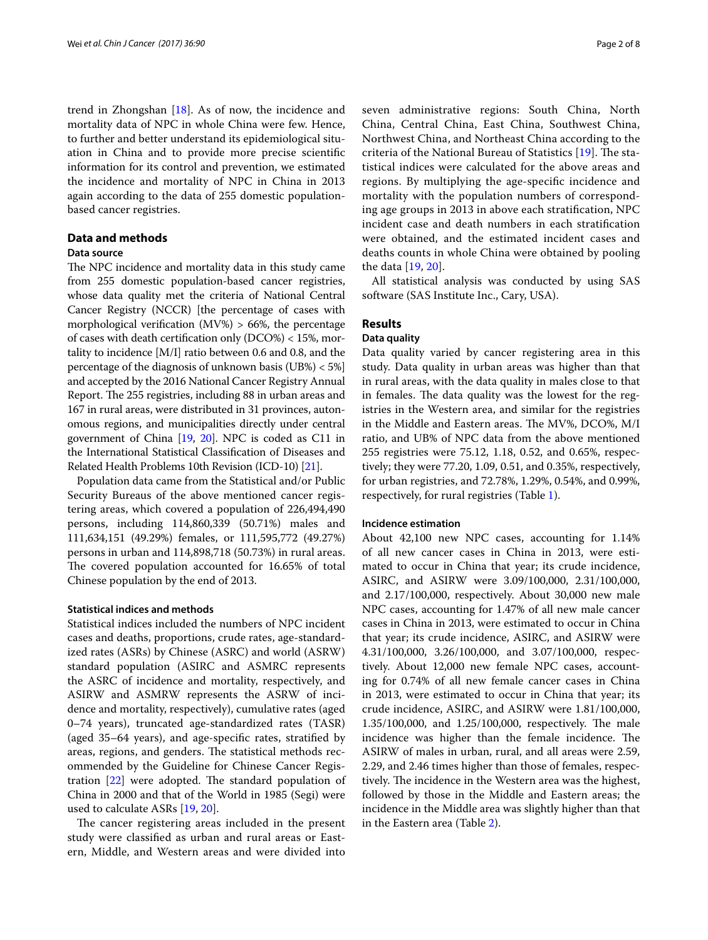trend in Zhongshan [\[18](#page-7-15)]. As of now, the incidence and mortality data of NPC in whole China were few. Hence, to further and better understand its epidemiological situation in China and to provide more precise scientifc information for its control and prevention, we estimated the incidence and mortality of NPC in China in 2013 again according to the data of 255 domestic populationbased cancer registries.

# **Data and methods**

#### **Data source**

The NPC incidence and mortality data in this study came from 255 domestic population-based cancer registries, whose data quality met the criteria of National Central Cancer Registry (NCCR) [the percentage of cases with morphological verification  $(MV%) > 66%$ , the percentage of cases with death certifcation only (DCO%) < 15%, mortality to incidence [M/I] ratio between 0.6 and 0.8, and the percentage of the diagnosis of unknown basis (UB%) < 5%] and accepted by the 2016 National Cancer Registry Annual Report. The 255 registries, including 88 in urban areas and 167 in rural areas, were distributed in 31 provinces, autonomous regions, and municipalities directly under central government of China [[19](#page-7-16), [20](#page-7-17)]. NPC is coded as C11 in the International Statistical Classifcation of Diseases and Related Health Problems 10th Revision (ICD-10) [[21](#page-7-18)].

Population data came from the Statistical and/or Public Security Bureaus of the above mentioned cancer registering areas, which covered a population of 226,494,490 persons, including 114,860,339 (50.71%) males and 111,634,151 (49.29%) females, or 111,595,772 (49.27%) persons in urban and 114,898,718 (50.73%) in rural areas. The covered population accounted for 16.65% of total Chinese population by the end of 2013.

#### **Statistical indices and methods**

Statistical indices included the numbers of NPC incident cases and deaths, proportions, crude rates, age-standardized rates (ASRs) by Chinese (ASRC) and world (ASRW) standard population (ASIRC and ASMRC represents the ASRC of incidence and mortality, respectively, and ASIRW and ASMRW represents the ASRW of incidence and mortality, respectively), cumulative rates (aged 0–74 years), truncated age-standardized rates (TASR) (aged 35–64 years), and age-specifc rates, stratifed by areas, regions, and genders. The statistical methods recommended by the Guideline for Chinese Cancer Registration  $[22]$  $[22]$  were adopted. The standard population of China in 2000 and that of the World in 1985 (Segi) were used to calculate ASRs [[19,](#page-7-16) [20\]](#page-7-17).

The cancer registering areas included in the present study were classifed as urban and rural areas or Eastern, Middle, and Western areas and were divided into seven administrative regions: South China, North China, Central China, East China, Southwest China, Northwest China, and Northeast China according to the criteria of the National Bureau of Statistics [\[19](#page-7-16)]. The statistical indices were calculated for the above areas and regions. By multiplying the age-specifc incidence and mortality with the population numbers of corresponding age groups in 2013 in above each stratifcation, NPC incident case and death numbers in each stratifcation were obtained, and the estimated incident cases and deaths counts in whole China were obtained by pooling the data [[19](#page-7-16), [20\]](#page-7-17).

All statistical analysis was conducted by using SAS software (SAS Institute Inc., Cary, USA).

#### **Results**

#### **Data quality**

Data quality varied by cancer registering area in this study. Data quality in urban areas was higher than that in rural areas, with the data quality in males close to that in females. The data quality was the lowest for the registries in the Western area, and similar for the registries in the Middle and Eastern areas. The MV%, DCO%, M/I ratio, and UB% of NPC data from the above mentioned 255 registries were 75.12, 1.18, 0.52, and 0.65%, respectively; they were 77.20, 1.09, 0.51, and 0.35%, respectively, for urban registries, and 72.78%, 1.29%, 0.54%, and 0.99%, respectively, for rural registries (Table [1](#page-2-0)).

### **Incidence estimation**

About 42,100 new NPC cases, accounting for 1.14% of all new cancer cases in China in 2013, were estimated to occur in China that year; its crude incidence, ASIRC, and ASIRW were 3.09/100,000, 2.31/100,000, and 2.17/100,000, respectively. About 30,000 new male NPC cases, accounting for 1.47% of all new male cancer cases in China in 2013, were estimated to occur in China that year; its crude incidence, ASIRC, and ASIRW were 4.31/100,000, 3.26/100,000, and 3.07/100,000, respectively. About 12,000 new female NPC cases, accounting for 0.74% of all new female cancer cases in China in 2013, were estimated to occur in China that year; its crude incidence, ASIRC, and ASIRW were 1.81/100,000, 1.35/100,000, and 1.25/100,000, respectively. The male incidence was higher than the female incidence. The ASIRW of males in urban, rural, and all areas were 2.59, 2.29, and 2.46 times higher than those of females, respectively. The incidence in the Western area was the highest, followed by those in the Middle and Eastern areas; the incidence in the Middle area was slightly higher than that in the Eastern area (Table [2](#page-2-1)).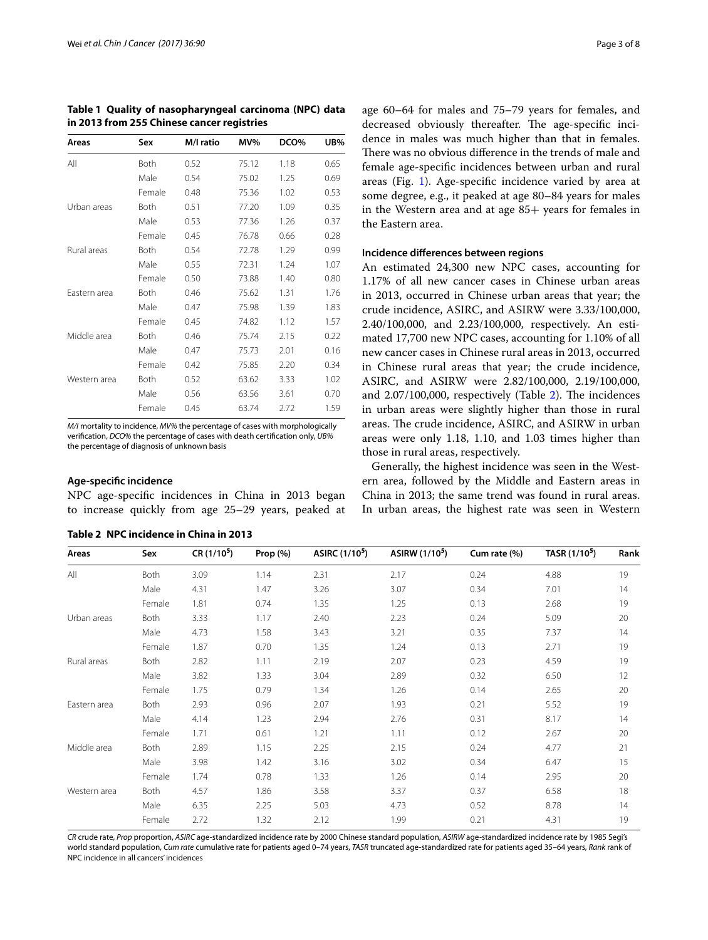| Areas        | Sex    | M/I ratio | MV%   | DCO% | UB%  |
|--------------|--------|-----------|-------|------|------|
| All          | Both   | 0.52      | 75.12 | 1.18 | 0.65 |
|              | Male   | 0.54      | 75.02 | 1.25 | 0.69 |
|              | Female | 0.48      | 75.36 | 1.02 | 0.53 |
| Urban areas  | Both   | 0.51      | 77.20 | 1.09 | 0.35 |
|              | Male   | 0.53      | 77.36 | 1.26 | 0.37 |
|              | Female | 0.45      | 76.78 | 0.66 | 0.28 |
| Rural areas  | Both   | 0.54      | 72.78 | 1.29 | 0.99 |
|              | Male   | 0.55      | 72.31 | 1.24 | 1.07 |
|              | Female | 0.50      | 73.88 | 1.40 | 0.80 |
| Eastern area | Both   | 0.46      | 75.62 | 1.31 | 1.76 |
|              | Male   | 0.47      | 75.98 | 1.39 | 1.83 |
|              | Female | 0.45      | 74.82 | 1.12 | 1.57 |
| Middle area  | Both   | 0.46      | 75.74 | 2.15 | 0.22 |
|              | Male   | 0.47      | 75.73 | 2.01 | 0.16 |
|              | Female | 0.42      | 75.85 | 2.20 | 0.34 |
| Western area | Both   | 0.52      | 63.62 | 3.33 | 1.02 |
|              | Male   | 0.56      | 63.56 | 3.61 | 0.70 |
|              | Female | 0.45      | 63.74 | 2.72 | 1.59 |

<span id="page-2-0"></span>**Table 1 Quality of nasopharyngeal carcinoma (NPC) data in 2013 from 255 Chinese cancer registries**

*M/I* mortality to incidence, *MV%* the percentage of cases with morphologically verifcation, *DCO%* the percentage of cases with death certifcation only, *UB%* the percentage of diagnosis of unknown basis

#### **Age‑specifc incidence**

NPC age-specifc incidences in China in 2013 began to increase quickly from age 25–29 years, peaked at

| Areas        | Sex    | $CR(1/10^5)$ | Prop $(\%)$ | ASIRC (1/10 <sup>5</sup> ) | ASIRW (1/10 <sup>5</sup> ) | Cum rate (%) | TASR (1/10 <sup>5</sup> ) | Rank |
|--------------|--------|--------------|-------------|----------------------------|----------------------------|--------------|---------------------------|------|
| All          | Both   | 3.09         | 1.14        | 2.31                       | 2.17                       | 0.24         | 4.88                      | 19   |
|              | Male   | 4.31         | 1.47        | 3.26                       | 3.07                       | 0.34         | 7.01                      | 14   |
|              | Female | 1.81         | 0.74        | 1.35                       | 1.25                       | 0.13         | 2.68                      | 19   |
| Urban areas  | Both   | 3.33         | 1.17        | 2.40                       | 2.23                       | 0.24         | 5.09                      | 20   |
|              | Male   | 4.73         | 1.58        | 3.43                       | 3.21                       | 0.35         | 7.37                      | 14   |
|              | Female | 1.87         | 0.70        | 1.35                       | 1.24                       | 0.13         | 2.71                      | 19   |
| Rural areas  | Both   | 2.82         | 1.11        | 2.19                       | 2.07                       | 0.23         | 4.59                      | 19   |
|              | Male   | 3.82         | 1.33        | 3.04                       | 2.89                       | 0.32         | 6.50                      | 12   |
|              | Female | 1.75         | 0.79        | 1.34                       | 1.26                       | 0.14         | 2.65                      | 20   |
| Eastern area | Both   | 2.93         | 0.96        | 2.07                       | 1.93                       | 0.21         | 5.52                      | 19   |
|              | Male   | 4.14         | 1.23        | 2.94                       | 2.76                       | 0.31         | 8.17                      | 14   |
|              | Female | 1.71         | 0.61        | 1.21                       | 1.11                       | 0.12         | 2.67                      | 20   |
| Middle area  | Both   | 2.89         | 1.15        | 2.25                       | 2.15                       | 0.24         | 4.77                      | 21   |
|              | Male   | 3.98         | 1.42        | 3.16                       | 3.02                       | 0.34         | 6.47                      | 15   |
|              | Female | 1.74         | 0.78        | 1.33                       | 1.26                       | 0.14         | 2.95                      | 20   |
| Western area | Both   | 4.57         | 1.86        | 3.58                       | 3.37                       | 0.37         | 6.58                      | 18   |
|              | Male   | 6.35         | 2.25        | 5.03                       | 4.73                       | 0.52         | 8.78                      | 14   |
|              | Female | 2.72         | 1.32        | 2.12                       | 1.99                       | 0.21         | 4.31                      | 19   |

#### <span id="page-2-1"></span>**Table 2 NPC incidence in China in 2013**

age 60–64 for males and 75–79 years for females, and decreased obviously thereafter. The age-specific incidence in males was much higher than that in females. There was no obvious difference in the trends of male and female age-specifc incidences between urban and rural areas (Fig. [1](#page-3-0)). Age-specifc incidence varied by area at some degree, e.g., it peaked at age 80–84 years for males in the Western area and at age 85+ years for females in the Eastern area.

#### **Incidence diferences between regions**

An estimated 24,300 new NPC cases, accounting for 1.17% of all new cancer cases in Chinese urban areas in 2013, occurred in Chinese urban areas that year; the crude incidence, ASIRC, and ASIRW were 3.33/100,000, 2.40/100,000, and 2.23/100,000, respectively. An estimated 17,700 new NPC cases, accounting for 1.10% of all new cancer cases in Chinese rural areas in 2013, occurred in Chinese rural areas that year; the crude incidence, ASIRC, and ASIRW were 2.82/100,000, 2.19/100,000, and  $2.07/100,000$ , respectively (Table  $2$ ). The incidences in urban areas were slightly higher than those in rural areas. The crude incidence, ASIRC, and ASIRW in urban areas were only 1.18, 1.10, and 1.03 times higher than those in rural areas, respectively.

Generally, the highest incidence was seen in the Western area, followed by the Middle and Eastern areas in China in 2013; the same trend was found in rural areas. In urban areas, the highest rate was seen in Western

*CR* crude rate, *Prop* proportion, *ASIRC* age-standardized incidence rate by 2000 Chinese standard population, *ASIRW* age-standardized incidence rate by 1985 Segi's world standard population, *Cum rate* cumulative rate for patients aged 0–74 years, *TASR* truncated age-standardized rate for patients aged 35–64 years, *Rank* rank of NPC incidence in all cancers' incidences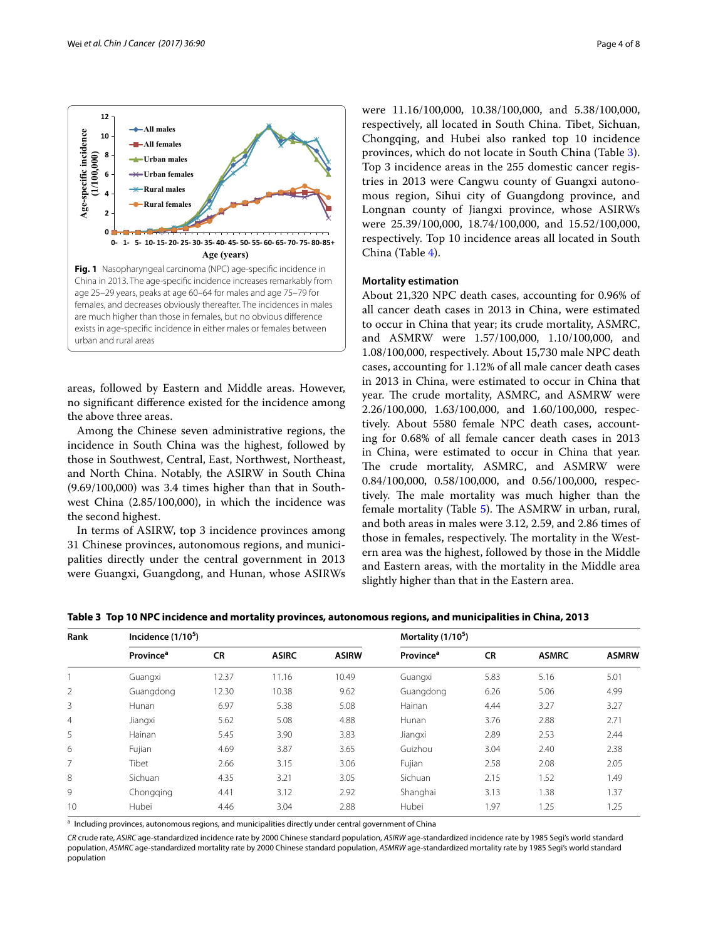

<span id="page-3-0"></span>areas, followed by Eastern and Middle areas. However, no signifcant diference existed for the incidence among the above three areas.

Among the Chinese seven administrative regions, the incidence in South China was the highest, followed by those in Southwest, Central, East, Northwest, Northeast, and North China. Notably, the ASIRW in South China (9.69/100,000) was 3.4 times higher than that in Southwest China (2.85/100,000), in which the incidence was the second highest.

In terms of ASIRW, top 3 incidence provinces among 31 Chinese provinces, autonomous regions, and municipalities directly under the central government in 2013 were Guangxi, Guangdong, and Hunan, whose ASIRWs were 11.16/100,000, 10.38/100,000, and 5.38/100,000, respectively, all located in South China. Tibet, Sichuan, Chongqing, and Hubei also ranked top 10 incidence provinces, which do not locate in South China (Table [3](#page-3-1)). Top 3 incidence areas in the 255 domestic cancer registries in 2013 were Cangwu county of Guangxi autonomous region, Sihui city of Guangdong province, and Longnan county of Jiangxi province, whose ASIRWs were 25.39/100,000, 18.74/100,000, and 15.52/100,000, respectively. Top 10 incidence areas all located in South China (Table [4](#page-4-0)).

### **Mortality estimation**

About 21,320 NPC death cases, accounting for 0.96% of all cancer death cases in 2013 in China, were estimated to occur in China that year; its crude mortality, ASMRC, and ASMRW were 1.57/100,000, 1.10/100,000, and 1.08/100,000, respectively. About 15,730 male NPC death cases, accounting for 1.12% of all male cancer death cases in 2013 in China, were estimated to occur in China that year. The crude mortality, ASMRC, and ASMRW were 2.26/100,000, 1.63/100,000, and 1.60/100,000, respectively. About 5580 female NPC death cases, accounting for 0.68% of all female cancer death cases in 2013 in China, were estimated to occur in China that year. The crude mortality, ASMRC, and ASMRW were 0.84/100,000, 0.58/100,000, and 0.56/100,000, respectively. The male mortality was much higher than the female mortality (Table [5](#page-4-1)). The ASMRW in urban, rural, and both areas in males were 3.12, 2.59, and 2.86 times of those in females, respectively. The mortality in the Western area was the highest, followed by those in the Middle and Eastern areas, with the mortality in the Middle area slightly higher than that in the Eastern area.

| Rank           | Incidence $(1/105)$   |           |              |              | Mortality $(1/105)$          |           |              |              |  |
|----------------|-----------------------|-----------|--------------|--------------|------------------------------|-----------|--------------|--------------|--|
|                | Province <sup>a</sup> | <b>CR</b> | <b>ASIRC</b> | <b>ASIRW</b> | <b>Province</b> <sup>a</sup> | <b>CR</b> | <b>ASMRC</b> | <b>ASMRW</b> |  |
|                | Guangxi               | 12.37     | 11.16        | 10.49        | Guangxi                      | 5.83      | 5.16         | 5.01         |  |
| 2              | Guangdong             | 12.30     | 10.38        | 9.62         | Guangdong                    | 6.26      | 5.06         | 4.99         |  |
| 3              | Hunan                 | 6.97      | 5.38         | 5.08         | Hainan                       | 4.44      | 3.27         | 3.27         |  |
| $\overline{4}$ | Jiangxi               | 5.62      | 5.08         | 4.88         | Hunan                        | 3.76      | 2.88         | 2.71         |  |
| 5              | Hainan                | 5.45      | 3.90         | 3.83         | Jiangxi                      | 2.89      | 2.53         | 2.44         |  |
| 6              | Fujian                | 4.69      | 3.87         | 3.65         | Guizhou                      | 3.04      | 2.40         | 2.38         |  |
| 7              | Tibet                 | 2.66      | 3.15         | 3.06         | Fujian                       | 2.58      | 2.08         | 2.05         |  |
| 8              | Sichuan               | 4.35      | 3.21         | 3.05         | Sichuan                      | 2.15      | 1.52         | 1.49         |  |
| 9              | Chongqing             | 4.41      | 3.12         | 2.92         | Shanghai                     | 3.13      | 1.38         | 1.37         |  |
| 10             | Hubei                 | 4.46      | 3.04         | 2.88         | Hubei                        | 1.97      | 1.25         | 1.25         |  |

<span id="page-3-1"></span>**Table 3 Top 10 NPC incidence and mortality provinces, autonomous regions, and municipalities in China, 2013**

<sup>a</sup> Including provinces, autonomous regions, and municipalities directly under central government of China

*CR* crude rate, *ASIRC* age-standardized incidence rate by 2000 Chinese standard population, *ASIRW* age-standardized incidence rate by 1985 Segi's world standard population, *ASMRC* age-standardized mortality rate by 2000 Chinese standard population, *ASMRW* age-standardized mortality rate by 1985 Segi's world standard population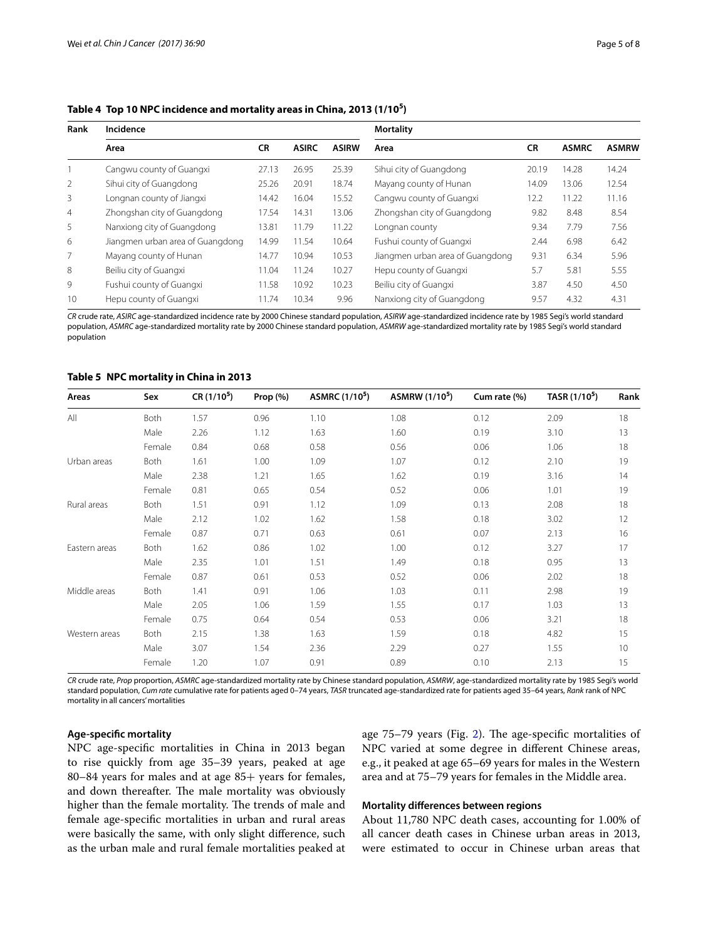<span id="page-4-0"></span>**Table 4 Top 10 NPC incidence and mortality areas in China, 2013 (1/105 )**

| Rank           | Incidence                        | <b>Mortality</b> |              |              |                                  |           |              |              |
|----------------|----------------------------------|------------------|--------------|--------------|----------------------------------|-----------|--------------|--------------|
|                | Area                             | <b>CR</b>        | <b>ASIRC</b> | <b>ASIRW</b> | Area                             | <b>CR</b> | <b>ASMRC</b> | <b>ASMRW</b> |
|                | Cangwu county of Guangxi         | 27.13            | 26.95        | 25.39        | Sihui city of Guangdong          | 20.19     | 14.28        | 14.24        |
| 2              | Sihui city of Guangdong          | 25.26            | 20.91        | 18.74        | Mayang county of Hunan           | 14.09     | 13.06        | 12.54        |
| 3              | Longnan county of Jiangxi        | 14.42            | 16.04        | 15.52        | Cangwu county of Guangxi         | 12.2      | 11.22        | 11.16        |
| $\overline{4}$ | Zhongshan city of Guangdong      | 17.54            | 14.31        | 13.06        | Zhongshan city of Guangdong      | 9.82      | 8.48         | 8.54         |
| 5              | Nanxiong city of Guangdong       | 13.81            | 11.79        | 11.22        | Longnan county                   | 9.34      | 7.79         | 7.56         |
| 6              | Jiangmen urban area of Guangdong | 14.99            | 11.54        | 10.64        | Fushui county of Guangxi         | 2.44      | 6.98         | 6.42         |
| 7              | Mayang county of Hunan           | 14.77            | 10.94        | 10.53        | Jiangmen urban area of Guangdong | 9.31      | 6.34         | 5.96         |
| 8              | Beiliu city of Guangxi           | 11.04            | 11.24        | 10.27        | Hepu county of Guangxi           | 5.7       | 5.81         | 5.55         |
| 9              | Fushui county of Guangxi         | 11.58            | 10.92        | 10.23        | Beiliu city of Guangxi           | 3.87      | 4.50         | 4.50         |
| 10             | Hepu county of Guangxi           | 11.74            | 10.34        | 9.96         | Nanxiong city of Guangdong       | 9.57      | 4.32         | 4.31         |

*CR* crude rate, *ASIRC* age-standardized incidence rate by 2000 Chinese standard population, *ASIRW* age-standardized incidence rate by 1985 Segi's world standard population, *ASMRC* age-standardized mortality rate by 2000 Chinese standard population, *ASMRW* age-standardized mortality rate by 1985 Segi's world standard population

#### <span id="page-4-1"></span>**Table 5 NPC mortality in China in 2013**

| Areas         | Sex    | $CR(1/10^5)$ | Prop $(%)$ | <b>ASMRC</b> (1/10 <sup>5</sup> ) | <b>ASMRW</b> (1/10 <sup>5</sup> ) | Cum rate (%) | TASR (1/10 <sup>5</sup> ) | Rank |
|---------------|--------|--------------|------------|-----------------------------------|-----------------------------------|--------------|---------------------------|------|
| All           | Both   | 1.57         | 0.96       | 1.10                              | 1.08                              | 0.12         | 2.09                      | 18   |
|               | Male   | 2.26         | 1.12       | 1.63                              | 1.60                              | 0.19         | 3.10                      | 13   |
|               | Female | 0.84         | 0.68       | 0.58                              | 0.56                              | 0.06         | 1.06                      | 18   |
| Urban areas   | Both   | 1.61         | 1.00       | 1.09                              | 1.07                              | 0.12         | 2.10                      | 19   |
|               | Male   | 2.38         | 1.21       | 1.65                              | 1.62                              | 0.19         | 3.16                      | 14   |
|               | Female | 0.81         | 0.65       | 0.54                              | 0.52                              | 0.06         | 1.01                      | 19   |
| Rural areas   | Both   | 1.51         | 0.91       | 1.12                              | 1.09                              | 0.13         | 2.08                      | 18   |
|               | Male   | 2.12         | 1.02       | 1.62                              | 1.58                              | 0.18         | 3.02                      | 12   |
|               | Female | 0.87         | 0.71       | 0.63                              | 0.61                              | 0.07         | 2.13                      | 16   |
| Eastern areas | Both   | 1.62         | 0.86       | 1.02                              | 1.00                              | 0.12         | 3.27                      | 17   |
|               | Male   | 2.35         | 1.01       | 1.51                              | 1.49                              | 0.18         | 0.95                      | 13   |
|               | Female | 0.87         | 0.61       | 0.53                              | 0.52                              | 0.06         | 2.02                      | 18   |
| Middle areas  | Both   | 1.41         | 0.91       | 1.06                              | 1.03                              | 0.11         | 2.98                      | 19   |
|               | Male   | 2.05         | 1.06       | 1.59                              | 1.55                              | 0.17         | 1.03                      | 13   |
|               | Female | 0.75         | 0.64       | 0.54                              | 0.53                              | 0.06         | 3.21                      | 18   |
| Western areas | Both   | 2.15         | 1.38       | 1.63                              | 1.59                              | 0.18         | 4.82                      | 15   |
|               | Male   | 3.07         | 1.54       | 2.36                              | 2.29                              | 0.27         | 1.55                      | 10   |
|               | Female | 1.20         | 1.07       | 0.91                              | 0.89                              | 0.10         | 2.13                      | 15   |

*CR* crude rate, *Prop* proportion, *ASMRC* age-standardized mortality rate by Chinese standard population, *ASMRW*, age-standardized mortality rate by 1985 Segi's world standard population, *Cum rate* cumulative rate for patients aged 0–74 years, *TASR* truncated age-standardized rate for patients aged 35–64 years, *Rank* rank of NPC mortality in all cancers' mortalities

### **Age‑specifc mortality**

NPC age-specifc mortalities in China in 2013 began to rise quickly from age 35–39 years, peaked at age 80–84 years for males and at age 85+ years for females, and down thereafter. The male mortality was obviously higher than the female mortality. The trends of male and female age-specifc mortalities in urban and rural areas were basically the same, with only slight diference, such as the urban male and rural female mortalities peaked at age  $75-79$  years (Fig. [2\)](#page-5-0). The age-specific mortalities of NPC varied at some degree in diferent Chinese areas, e.g., it peaked at age 65–69 years for males in the Western area and at 75–79 years for females in the Middle area.

## **Mortality diferences between regions**

About 11,780 NPC death cases, accounting for 1.00% of all cancer death cases in Chinese urban areas in 2013, were estimated to occur in Chinese urban areas that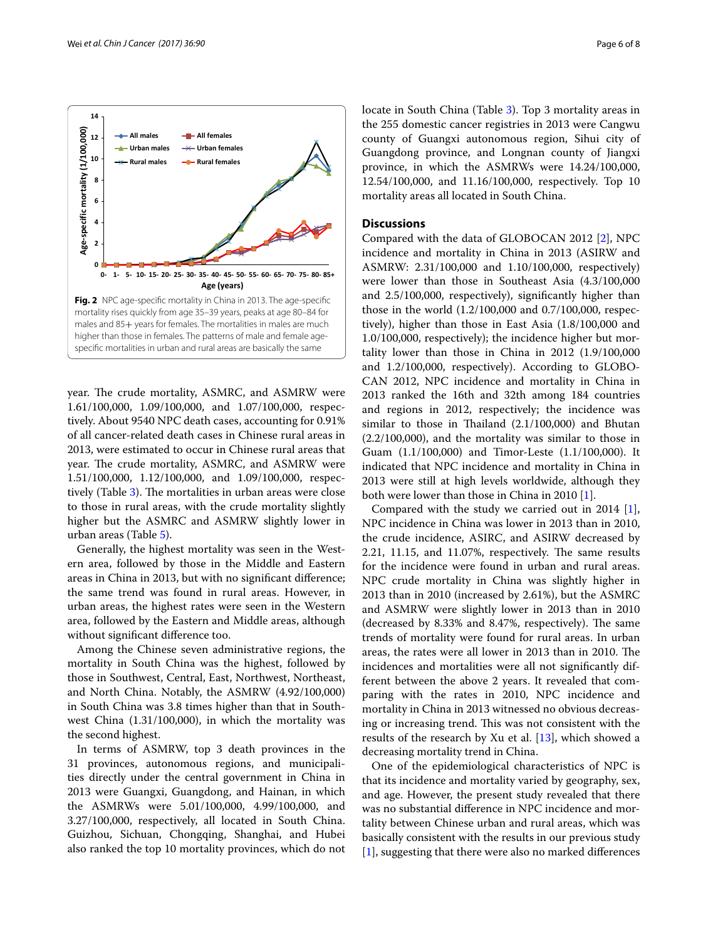<span id="page-5-0"></span>year. The crude mortality, ASMRC, and ASMRW were 1.61/100,000, 1.09/100,000, and 1.07/100,000, respectively. About 9540 NPC death cases, accounting for 0.91% of all cancer-related death cases in Chinese rural areas in 2013, were estimated to occur in Chinese rural areas that year. The crude mortality, ASMRC, and ASMRW were 1.51/100,000, 1.12/100,000, and 1.09/100,000, respec-tively (Table [3](#page-3-1)). The mortalities in urban areas were close to those in rural areas, with the crude mortality slightly higher but the ASMRC and ASMRW slightly lower in urban areas (Table [5](#page-4-1)).

Generally, the highest mortality was seen in the Western area, followed by those in the Middle and Eastern areas in China in 2013, but with no signifcant diference; the same trend was found in rural areas. However, in urban areas, the highest rates were seen in the Western area, followed by the Eastern and Middle areas, although without signifcant diference too.

Among the Chinese seven administrative regions, the mortality in South China was the highest, followed by those in Southwest, Central, East, Northwest, Northeast, and North China. Notably, the ASMRW (4.92/100,000) in South China was 3.8 times higher than that in Southwest China (1.31/100,000), in which the mortality was the second highest.

In terms of ASMRW, top 3 death provinces in the 31 provinces, autonomous regions, and municipalities directly under the central government in China in 2013 were Guangxi, Guangdong, and Hainan, in which the ASMRWs were 5.01/100,000, 4.99/100,000, and 3.27/100,000, respectively, all located in South China. Guizhou, Sichuan, Chongqing, Shanghai, and Hubei also ranked the top 10 mortality provinces, which do not locate in South China (Table [3\)](#page-3-1). Top 3 mortality areas in the 255 domestic cancer registries in 2013 were Cangwu county of Guangxi autonomous region, Sihui city of Guangdong province, and Longnan county of Jiangxi province, in which the ASMRWs were 14.24/100,000, 12.54/100,000, and 11.16/100,000, respectively. Top 10 mortality areas all located in South China.

#### **Discussions**

Compared with the data of GLOBOCAN 2012 [\[2](#page-7-1)], NPC incidence and mortality in China in 2013 (ASIRW and ASMRW: 2.31/100,000 and 1.10/100,000, respectively) were lower than those in Southeast Asia (4.3/100,000 and 2.5/100,000, respectively), signifcantly higher than those in the world (1.2/100,000 and 0.7/100,000, respectively), higher than those in East Asia (1.8/100,000 and 1.0/100,000, respectively); the incidence higher but mortality lower than those in China in 2012 (1.9/100,000 and 1.2/100,000, respectively). According to GLOBO-CAN 2012, NPC incidence and mortality in China in 2013 ranked the 16th and 32th among 184 countries and regions in 2012, respectively; the incidence was similar to those in Thailand  $(2.1/100,000)$  and Bhutan (2.2/100,000), and the mortality was similar to those in Guam (1.1/100,000) and Timor-Leste (1.1/100,000). It indicated that NPC incidence and mortality in China in 2013 were still at high levels worldwide, although they both were lower than those in China in 2010 [\[1](#page-7-0)].

Compared with the study we carried out in 2014 [\[1](#page-7-0)], NPC incidence in China was lower in 2013 than in 2010, the crude incidence, ASIRC, and ASIRW decreased by  $2.21, 11.15,$  and  $11.07\%$ , respectively. The same results for the incidence were found in urban and rural areas. NPC crude mortality in China was slightly higher in 2013 than in 2010 (increased by 2.61%), but the ASMRC and ASMRW were slightly lower in 2013 than in 2010  $(decreased by 8.33% and 8.47%, respectively).$  The same trends of mortality were found for rural areas. In urban areas, the rates were all lower in 2013 than in 2010. The incidences and mortalities were all not signifcantly different between the above 2 years. It revealed that comparing with the rates in 2010, NPC incidence and mortality in China in 2013 witnessed no obvious decreasing or increasing trend. This was not consistent with the results of the research by Xu et al. [[13\]](#page-7-10), which showed a decreasing mortality trend in China.

One of the epidemiological characteristics of NPC is that its incidence and mortality varied by geography, sex, and age. However, the present study revealed that there was no substantial diference in NPC incidence and mortality between Chinese urban and rural areas, which was basically consistent with the results in our previous study [[1\]](#page-7-0), suggesting that there were also no marked diferences



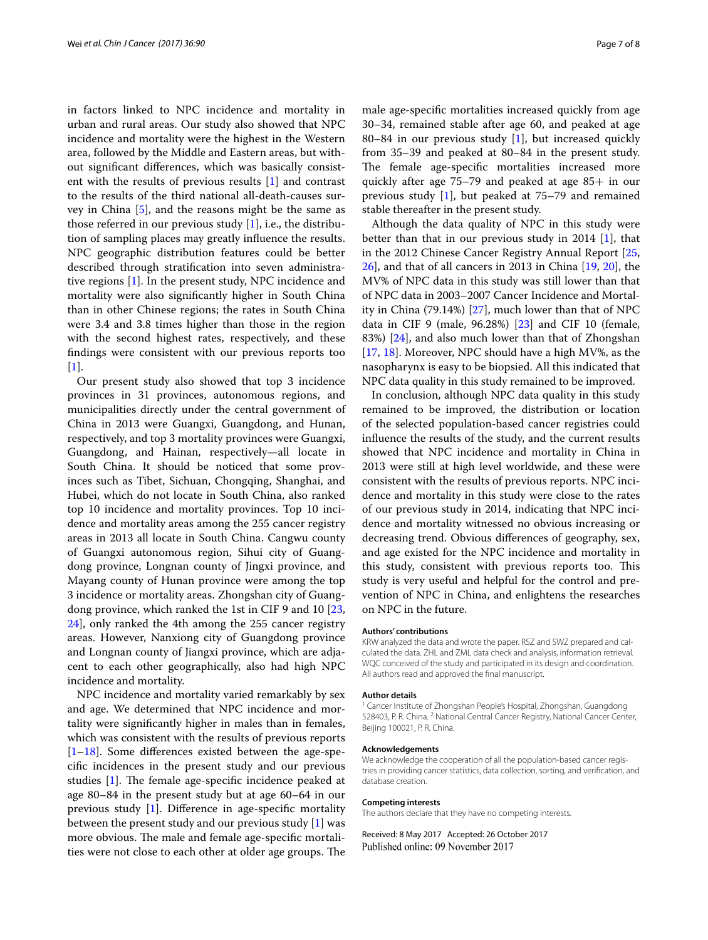in factors linked to NPC incidence and mortality in urban and rural areas. Our study also showed that NPC incidence and mortality were the highest in the Western area, followed by the Middle and Eastern areas, but without signifcant diferences, which was basically consistent with the results of previous results [[1\]](#page-7-0) and contrast to the results of the third national all-death-causes survey in China [[5\]](#page-7-4), and the reasons might be the same as those referred in our previous study  $[1]$ , i.e., the distribution of sampling places may greatly infuence the results. NPC geographic distribution features could be better described through stratifcation into seven administrative regions [\[1](#page-7-0)]. In the present study, NPC incidence and mortality were also signifcantly higher in South China than in other Chinese regions; the rates in South China were 3.4 and 3.8 times higher than those in the region with the second highest rates, respectively, and these fndings were consistent with our previous reports too [[1\]](#page-7-0).

Our present study also showed that top 3 incidence provinces in 31 provinces, autonomous regions, and municipalities directly under the central government of China in 2013 were Guangxi, Guangdong, and Hunan, respectively, and top 3 mortality provinces were Guangxi, Guangdong, and Hainan, respectively—all locate in South China. It should be noticed that some provinces such as Tibet, Sichuan, Chongqing, Shanghai, and Hubei, which do not locate in South China, also ranked top 10 incidence and mortality provinces. Top 10 incidence and mortality areas among the 255 cancer registry areas in 2013 all locate in South China. Cangwu county of Guangxi autonomous region, Sihui city of Guangdong province, Longnan county of Jingxi province, and Mayang county of Hunan province were among the top 3 incidence or mortality areas. Zhongshan city of Guangdong province, which ranked the 1st in CIF 9 and 10 [\[23](#page-7-20), [24\]](#page-7-21), only ranked the 4th among the 255 cancer registry areas. However, Nanxiong city of Guangdong province and Longnan county of Jiangxi province, which are adjacent to each other geographically, also had high NPC incidence and mortality.

NPC incidence and mortality varied remarkably by sex and age. We determined that NPC incidence and mortality were signifcantly higher in males than in females, which was consistent with the results of previous reports [[1–](#page-7-0)[18\]](#page-7-15). Some diferences existed between the age-specifc incidences in the present study and our previous studies  $[1]$ . The female age-specific incidence peaked at age 80–84 in the present study but at age 60–64 in our previous study [\[1\]](#page-7-0). Diference in age-specifc mortality between the present study and our previous study [[1\]](#page-7-0) was more obvious. The male and female age-specific mortalities were not close to each other at older age groups. The male age-specifc mortalities increased quickly from age 30–34, remained stable after age 60, and peaked at age 80–84 in our previous study [[1](#page-7-0)], but increased quickly from 35–39 and peaked at 80–84 in the present study. The female age-specific mortalities increased more quickly after age 75–79 and peaked at age 85+ in our previous study [\[1](#page-7-0)], but peaked at 75–79 and remained stable thereafter in the present study.

Although the data quality of NPC in this study were better than that in our previous study in 2014 [\[1](#page-7-0)], that in the 2012 Chinese Cancer Registry Annual Report [[25](#page-7-22), [26\]](#page-7-23), and that of all cancers in 2013 in China [\[19](#page-7-16), [20](#page-7-17)], the MV% of NPC data in this study was still lower than that of NPC data in 2003–2007 Cancer Incidence and Mortality in China (79.14%) [\[27](#page-7-24)], much lower than that of NPC data in CIF 9 (male, 96.28%) [[23\]](#page-7-20) and CIF 10 (female, 83%) [\[24\]](#page-7-21), and also much lower than that of Zhongshan [[17,](#page-7-14) [18](#page-7-15)]. Moreover, NPC should have a high MV%, as the nasopharynx is easy to be biopsied. All this indicated that NPC data quality in this study remained to be improved.

In conclusion, although NPC data quality in this study remained to be improved, the distribution or location of the selected population-based cancer registries could infuence the results of the study, and the current results showed that NPC incidence and mortality in China in 2013 were still at high level worldwide, and these were consistent with the results of previous reports. NPC incidence and mortality in this study were close to the rates of our previous study in 2014, indicating that NPC incidence and mortality witnessed no obvious increasing or decreasing trend. Obvious diferences of geography, sex, and age existed for the NPC incidence and mortality in this study, consistent with previous reports too. This study is very useful and helpful for the control and prevention of NPC in China, and enlightens the researches on NPC in the future.

#### **Authors' contributions**

KRW analyzed the data and wrote the paper. RSZ and SWZ prepared and calculated the data. ZHL and ZML data check and analysis, information retrieval. WQC conceived of the study and participated in its design and coordination. All authors read and approved the fnal manuscript.

#### **Author details**

<sup>1</sup> Cancer Institute of Zhongshan People's Hospital, Zhongshan, Guangdong 528403, P. R. China. <sup>2</sup> National Central Cancer Registry, National Cancer Center, Beijing 100021, P. R. China.

#### **Acknowledgements**

We acknowledge the cooperation of all the population-based cancer registries in providing cancer statistics, data collection, sorting, and verifcation, and database creation.

#### **Competing interests**

The authors declare that they have no competing interests.

Received: 8 May 2017 Accepted: 26 October 2017Published online: 09 November 2017